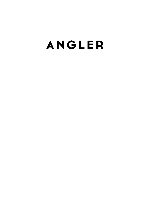# ANGLER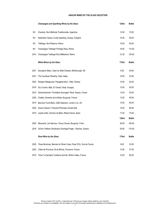# *ANGLER WINES BY THE GLASS SELECTION*

|           | Champagne and Sparkling Wines by the Glass                        | <b>125ml</b> | <b>Bottle</b> |
|-----------|-------------------------------------------------------------------|--------------|---------------|
| <b>NV</b> | Chandon, Brut Méthode Traditionnelle, Argentina                   | 12.00        | 70.00         |
| NV        | Nyetimber Classic Cuvée Sparkling, Sussex, England                | 15.00        | 90.00         |
| NV        | Taittinger, Brut Réserve, Reims                                   | 15.50        | 93.00         |
| <b>NV</b> | Champagne Taittinger Prestige Rose, Reims                         | 18.00        | 110.00        |
| 2014      | Champagne Taittinger Brut Milléssimé, Reims                       | 21.00        | 125.00        |
|           | <b>White Wines by the Glass</b>                                   | 175ml        | <b>Bottle</b> |
| 2021      | Sauvignon Blanc, Satyr by Sileni Estates, Marlborough, NZ         | 9,50         | 40.00         |
| 2021      | The Courtesan Riesling, Clare Valley                              | 10.00        | 43.00         |
| 2020      | Kalogeri Malagouzia, Papagiannakos, Attiki, Greece                | 12.00        | 52.00         |
| 2016      | Dry Furmint, Mád, St Tamás, Tokaji, Hungary                       | 13.00        | 55.00         |
| 2019      | Gewürztraminer "Orchidées Sauvages" Muré, Alsace, France          | 13.00        | 55.00         |
| 2020      | Chablis, Domaine de la Motte, Burgundy, France                    | 13.50        | 58.00         |
| 2019      | Bacchus Fumé Blanc, D&D Selection, London Cru, UK                 | 14.50        | 60.00         |
| 2020      | Soave Classico "Calvarino"Pieropan, Veneto, Italy                 | 15.50        | 66.00         |
| 2019      | Lapola white, Dominio do Bibei, Ribeira Sacra, Spain              | 17.50        | 75.00         |
|           |                                                                   | <b>125ml</b> | <b>Bottle</b> |
| 2020      | Meursault, Les Narvaux, Chavy-Chouet, Burgundy, Franc             | 28.00        | 165.00        |
| 2016      | Grüner Veltliner Stockkultur, Smaragd, Prager, Wachau, Austria    | 29.00        | 174.00        |
|           | Rosé Wine by the Glass                                            | 175ml        | <b>Bottle</b> |
| 2020      | Rose Montrose, Bernard et Olivier Coste, Pays D'Oc, Sud de France | 8.00         | 33.00         |
| 2020      | Côtes de Provence, M de Minuty, Provence, France                  | 13.00        | 57.00         |
| 2019      | Tavel "La Nymphe", Guillame Gonnet, Rhône Valley, France          | 15.00        | 60.00         |

Prices include VAT at 20%. A discretionary 15%service charge will be addet to your total bill. All wines are subject to availability. We are happy to provide information pertaining to allergies and intollerances.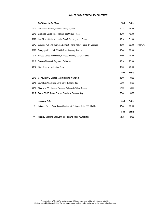# *ANGLER WINES BY THE GLASS SELECTION*

|           | <b>Red Wines by the Glass</b>                                          | 175ml | <b>Bottle</b> |          |
|-----------|------------------------------------------------------------------------|-------|---------------|----------|
| 2020      | Carmenere Reserva, Adobe, Colchagua, Chile                             | 9.00  | 38.00         |          |
| 2019      | Corbières, Cuvée Alice, Hameau des Ollieux, France                     | 10.00 | 40.00         |          |
| 2020      | Les Oliviers Merlot Mourvedre, Pays D'Oc, Languedoc, France            | 12.50 | 51.00         |          |
| 2017      | Cairanne "La côte Sauvage", Boutinot, Rhône Valley, France (by Magnum) | 13.00 | 92.00         | (Magnum) |
| 2020      | Bourgogne Pinot Noir, Vallet Frères, Burgundy, France                  | 15.00 | 60.00         |          |
| 2014      | Malbec, Cuvée Authentique, Château Pineraie, Cahors, France            | 17.00 | 74.00         |          |
| 2019      | Sonoma Zinfandel , Seghesio, Californial                               | 17.50 | 75.00         |          |
| 2012      | Rioja Reserva, Valenciso, Spain                                        | 19.00 | 78.00         |          |
|           |                                                                        | 125ml | <b>Bottle</b> |          |
| 2019      | Gamay Noir "El Dorado", Arnot-Roberts, California                      | 18.00 | 108.00        |          |
| 2015      | Brunello di Montalcino, Silvio Nardi, Tuscany, Italy                   | 23.00 | 134.00        |          |
| 2018      | Pinot Noir "Cumberland Reserve", Willamette Valley, Oregon             | 27.00 | 158.00        |          |
| 2017      | Barolo DOCG, Bricco Boschis, Cavallotto, Piedmont, Italy               | 28.00 | 168.00        |          |
|           | Japanese Sake                                                          | 100ml | <b>Bottle</b> |          |
| <b>NV</b> | Keigetsu Gin-no-Yume Junmai Daginjo (45 Polishing Ratio) 300ml bottle  | 13.00 | 38.00         |          |
|           |                                                                        | 125ml | <b>Bottle</b> |          |
|           |                                                                        |       |               |          |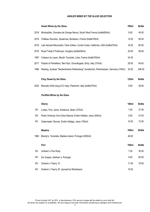# *ANGLER WINES BY THE GLASS SELECTION*

|           | <b>Sweet Wines by the Glass</b>                                                      | <b>100ml</b> | <b>Bottle</b> |
|-----------|--------------------------------------------------------------------------------------|--------------|---------------|
| 2018      | Monbazillac, Domaine de Grange Neuve, South West France (bottle500ml)                | 9.00         | 45.00         |
| 2016      | Château Roumieu, Sauternes, Bordeaux, France (bottle750ml)                           | 12.00        | 85.00         |
| 2016      | Late Harvest Mourvedre, Cline Cellars, Contra Costa, California, USA (bottle375ml)   | 16.00        | 60.00         |
| 2016      | Royal Tokaji 5 Puttonyos, Hungary (bottle500ml)                                      | 20.00        | 99.00         |
| 1997      | Coteaux du Layon, Moulin Touchais, Loire, France (bottle750ml)                       | 24.00        |               |
| 2017      | Passito di Pantelleria, 'Ben Rye', Donnafugata, Sicily, Italy (375ml)                | 28.00        | 94.00         |
| 1996      | Riesling, Auslese "Nackenheimer Rothenberg" Gunderloch, Rheinhessen, Germany (750ml) | 35.50        | 248.00        |
|           |                                                                                      | <b>125ml</b> |               |
|           | <b>Fizzy Sweet by the Glass</b>                                                      |              | <b>Bottle</b> |
| 2020      | Moscato d'Asti docg, G.D. Vajra, Piedmont, Italy (bottle375ml)                       | 9.50         | 28.50         |
|           | <b>Fortified Wines by the Glass</b>                                                  |              |               |
|           |                                                                                      |              |               |
|           | <b>Sherry</b>                                                                        | <b>100ml</b> | <b>Bottle</b> |
| <b>NV</b> | Lustau, Fino, Jerez, Andalucia, Spain (375ml)                                        | 7.50         | 27.00         |
| <b>NV</b> | Pedro Ximenez, Vino Dulce Natural, Emilio Hidaldo, Jerez (500ml)                     | 9.50         | 47.00         |
| <b>NV</b> | Gobernador Oloroso, Emilio Hidalgo, Jerez (750ml)                                    | 10.00        | 72.00         |
|           | <b>Madeira</b>                                                                       | <b>100ml</b> | <b>Bottle</b> |
| 1980      | Blandy's, Terrantes, Madeira Island, Portugal (3000ml)                               | 48.00        |               |
|           |                                                                                      |              |               |
|           | Port                                                                                 | <b>100ml</b> | <b>Bottle</b> |
| <b>NV</b> | Graham's Fine Ruby                                                                   | 7.50         | 55.00         |
| <b>NV</b> | Six Grapes , Graham's, Portugal                                                      | 9.00         | 65.00         |
| <b>NV</b> | Graham's Tawny 10                                                                    | 11.00        | 79.00         |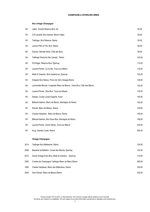## *CHAMPAGNE & SPARKLING WINES*

## *Non vintage Champagne*

| <b>NV</b> | Lallier, Grande Réserve Brut, Aÿ                                            | 84.00  |
|-----------|-----------------------------------------------------------------------------|--------|
| <b>NV</b> | A.R Lenoble, Brut Intense, Marne Valley                                     | 90.00  |
| <b>NV</b> | Taittinger, Brut Réserve, Reims                                             | 93.00  |
| <b>NV</b> | Lanson Père et Fils, Brut, Reims                                            | 96.00  |
| <b>NV</b> | Dosnon, Récolte Noire, Côte des Bars                                        | 98.00  |
| <b>NV</b> | Taittinger Nocturne Sec (sweet), Reims                                      | 103.00 |
| <b>NV</b> | Pol Roger, Réserve Brut, Épernay                                            | 114.00 |
| <b>NV</b> | Laurent-Perrier, La Cuvée, Tours-sur-Marne                                  | 118.00 |
| <b>NV</b> | Moët & Chandon, Brut Impérial Ice, Epernay                                  | 125.00 |
| <b>NV</b> | Drappier Brut Nature, Pinot noir Zéro Dosage, Reims                         | 128.00 |
| <b>NV</b> | Larmandier-Bernier 'Longitude' Blanc de Blancs, Extra Brut, Côte des Blancs | 130.00 |
| <b>NV</b> | Laurent-Perrier, Ultra Brut, Tours-sur-Marne                                | 135.00 |
| <b>NV</b> | Sanger, Cuvée Louise Eugenie, Avize                                         | 140.00 |
| <b>NV</b> | Billecart-Salmon, Blanc de Blancs, Montagne de Reims                        | 145.00 |
| <b>NV</b> | Ruinart, Blanc de Blancs, Reims                                             | 145.00 |
| <b>NV</b> | Charles Heidsieck, Blanc de Blancs, Reims                                   | 148.00 |
| <b>NV</b> | Billecart-Salmon, Brut Sous Bois, Montagne de Reims                         | 158.00 |
| <b>NV</b> | Laurent-Perrier, Grand Siècle, Tours-sur-Marne                              | 320.00 |
| <b>NV</b> | Krug, Grande Cuvée, Reims                                                   | 355.00 |
|           | Vintage Champagne                                                           |        |
| 2014      | Taittinger Brut Milléssimé, Reims                                           | 125.00 |
| 2006      | Besserat de Bellefon, Cuvée des Moines, Epernay                             | 132.00 |
| 2012      | Grand Vintage Extra Brut, Moët & Chandon, Epernay                           | 170.00 |
| 2005      | Comtes de Champagne Taittinger Blanc de Blanc, Reims                        | 290.00 |
| 1995      | Charles Heidsieck, Blanc des Millénaires, Reims                             | 330.00 |
| 2004      | Dom Ruinart Blanc de Blancs, Reims                                          | 330.00 |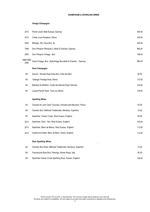## *Vintage Champagne*

| 2012               | Perrier-Jouët, Belle Époque, Epernay                          | 405.00 |
|--------------------|---------------------------------------------------------------|--------|
| 2013               | Cristal, Louis Roederer, Reims                                | 420.00 |
| 2002               | Bollinger, RD, Extra Brut, Aÿ                                 | 450.00 |
| 1998               | Dom Pérignon Plénitude 2, Moët & Chandon, Epernay             | 660.00 |
| 2002               | Dom Pérignon Vintage, Brut                                    | 798.00 |
| 1988/1998/<br>2008 | Grand Vintage Brut, Multivintage Box, Moët & Chandon, Epernay | 980.00 |
|                    | Rosé Champagne                                                |        |
| <b>NV</b>          | Dosnon, Récolte Rose Extra Brut, Côte des Bars                | 80.00  |
| <b>NV</b>          | Taittinger Prestige Rose, Reims                               | 110.00 |
| NV                 | Besserat de Bellefon, Cuvée des Moines Rosé, Epernay          | 120.00 |
| <b>NV</b>          | Laurent-Perrier Rosé, Tours sur Marne                         | 135.00 |
|                    |                                                               |        |
|                    | <b>Sparkling Wines</b>                                        |        |
| <b>NV</b>          | Cremant de Loire Carte Turquoise, Domaine des Baumard, France | 63.00  |
| <b>NV</b>          | Chandon Brut, Méthode Traditionelle, Mendoza, Argentina       | 70.00  |
| <b>NV</b>          | Nyetimber, Classic Cuvée, West Sussex, England                | 90.00  |
| 2013               | Nyetimber, Demi - Sec, West Sussex, England                   | 105.00 |
| 2013               | Nyetimber, Blanc de Blancs, West Sussex, England              | 112.00 |
| 2013               | Gusbourne Estate, Blanc de Blanc, Essex, England              | 112.00 |
|                    | <b>Rose Sparkling Wines</b>                                   |        |
| <b>NV</b>          | Chandon Brut Rosé, Méthode Traditionelle, Mendoza, Argentina  | 74.00  |
| <b>NV</b>          | Franciacorta Rose Brut, Flamingo, Monte Rossa, Italy          | 85.00  |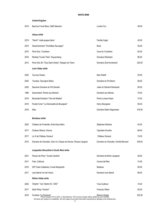|      | <b>United Kingdom</b>                                                                                                                       |                                        |        |
|------|---------------------------------------------------------------------------------------------------------------------------------------------|----------------------------------------|--------|
| 2019 | Bacchus Fumé Blanc, D&D Selection                                                                                                           | London Cru                             | 60.00  |
|      | Alsace white                                                                                                                                |                                        |        |
| 2019 | "Gentil " noble grapes blend                                                                                                                | Famille Hugel                          | 42,00  |
| 2019 | Gewürztraminer "Orchidées Sauvages"                                                                                                         | Muré                                   | 55.00  |
| 2015 | Pinot Gris, Turckheim                                                                                                                       | Cave de Turckheim                      | 62.00  |
| 2016 | Riesling "Cuvée Théo", Kaysersberg                                                                                                          | Domaine Weinbach                       | 96.00  |
| 2013 | Pinot Gris GC "Clos Saint Urbain", Rangen de Thann                                                                                          | Domaine Zind-Humbrecht                 | 225.00 |
|      | Loire Valley white                                                                                                                          |                                        |        |
| 2020 | Vouvray Classic                                                                                                                             | Marc Brédif                            | 53.00  |
| 2020 | Touraine Sauvignon Blanc                                                                                                                    | Domaine du Pre Baron                   | 56.00  |
| 2020 | Sancerre Domaine du Pré Semelé                                                                                                              | Julien et Clément Raimbault            | 60.00  |
| 1998 | Savennières "Roche aux Moines"                                                                                                              | Domaine aux Moines                     | 70.00  |
| 2018 | Muscadet Excelsior "Clos de Nöelles"                                                                                                        | Pierre Luneau-Papin                    | 74.00  |
| 2018 | Pouilly-Fumé " La Demoiselle de Bourgeois"                                                                                                  | Henry Bourgeois                        | 95.00  |
| 2018 | Silex                                                                                                                                       | Domaine Didier Dagueneau               | 476.00 |
|      | <b>Bordeaux white</b>                                                                                                                       |                                        |        |
| 2020 | Château de Fontenille, Entre-Deux-Mers                                                                                                      | Stéphane Defraine                      | 44.00  |
| 2017 | Chateau Rahoul, Graves                                                                                                                      | Vignobles Dourthe                      | 66.00  |
| 2017 | Le G de Château Guiraud                                                                                                                     | Château Guiraud                        | 74.00  |
| 2010 | Domaine de Chevalier, Gran Cru Classe de Graves, Pessac-Léognan                                                                             | Domaine du Chevalier , Famille Bernard | 255.00 |
|      | Languedoc-Roussillon & South West white                                                                                                     |                                        |        |
| 2021 | Picpoul de Pinet, "Cuvée Caroline"                                                                                                          | Domaine de Morin Langaran              | 38.00  |
| 2017 | Folio, Collioure                                                                                                                            | Coume del Mas                          | 74.00  |
| 2016 | IGP Cotes Catalanes, Cuveé Marguerite                                                                                                       | Matassa                                | 80.00  |
| 2017 | Leon Barral Vin de France                                                                                                                   | Domaine Leon Barral                    | 88.00  |
|      | Rhône Valley white                                                                                                                          |                                        |        |
| 2020 | Viognier "Les Vignes d'à Côté"                                                                                                              | <b>Yves Cuilleron</b>                  | 74.00  |
| 2017 | Saint Péray "Version"                                                                                                                       | <b>Francois Villard</b>                | 82.00  |
| 2016 | Condrieu "La Dorianne"<br>Etienne Guigal<br>Prices include VAT at 20%. A discretionary 15% service charge will be added to your final bill. |                                        | 222.00 |

All wines are subject to availability. We are happy to provide information pertaining to allergies and intolerances.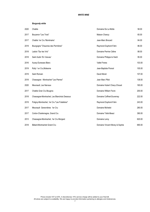# *Burgundy white*

| 2020 | Chablis                                      | Domaine De La Motte            | 58.00  |
|------|----------------------------------------------|--------------------------------|--------|
| 2017 | Bouzeron "Les Trois"                         | Maison Chanzy                  | 65.00  |
| 2017 | Chablis 1er Cru 'Montmains'                  | Jean-Marc Brocard              | 84.00  |
| 2019 | Bourgogne "Chaumes des Perrirères"           | Raymond Duphont-Fahn           | 86.00  |
| 2018 | Ladoix "Sur les Vris"                        | Domaine Perrine Céline         | 88.00  |
| 2018 | Saint Aubin 'En Vesvau'                      | Domaine Philippe le Hardi      | 95.00  |
| 2016 | Auxey-Duresses Blanc                         | <b>Vallet Freres</b>           | 103.00 |
| 2019 | Rully 1 er Cru, Molesme                      | Jean-Baptiste Ponsot           | 105.00 |
| 2019 | Saint Romain                                 | David Moret                    | 107.00 |
| 2018 | Chassagne - Montrachet "Les Pierres"         | Jean Marc Pillot               | 138.00 |
| 2020 | Meursault, Les Narvaux                       | Domaine Hubert Chavy-Chouet    | 165.00 |
| 2017 | Chablis Gran Cru Bougros                     | Domaine William Fevre          | 200.00 |
| 2018 | Chassagne-Montrachet, Les Blanchots Dessous  | Domaine Coffinet-Duvernay      | 222.00 |
| 2019 | Puligny-Montrachet, 1er Cru "Les Folatières" | Raymond Duphont-Fahn           | 243.00 |
| 2017 | Meursault Genevrières 1er Cru                | Domaine Michelot               | 280.00 |
| 2017 | Corton-Charlemagne, Grand Cru                | Domaine Tollot-Beaut           | 390.00 |
| 2013 | Chassagne-Montrachet, 1er Cru Morgeot        | Domaine Leroy                  | 620.00 |
| 2018 | Bâtard-Montrachet Grand Cru                  | Domaine Vincent Morey & Sophie | 690.00 |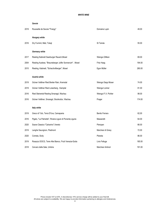|      | Savoie                                                    |                      |        |
|------|-----------------------------------------------------------|----------------------|--------|
| 2019 | Roussette de Savoie "Frangy"                              | Domaine Lupin        | 49.00  |
|      | <b>Hungary white</b>                                      |                      |        |
| 2016 | Dry Furmint, Mád, Tokaji                                  | St Tamás             | 55.00  |
|      | Germany white                                             |                      |        |
| 2017 | Riesling Kabinett Saarburger Rausch, Mosel                | Weingut Zilliken     | 69.00  |
| 2004 | Riesling Auslese, "Brauneberger Juffer Sonnenuhr", Mosel  | Fritz Haag           | 194.00 |
| 2015 | Riesling, Kabinett, "Scharzhofberger", Mosel              | Egon Müller          | 280.00 |
|      | Austria white                                             |                      |        |
| 2019 | Grüner Veltliner Ried Breiter Rain, Kremstal              | Weingut Sepp Moser   | 74.00  |
| 2019 | Grüner Veltliner Ried Loiserberg, Kamptal                 | Weingut Loimer       | 81.00  |
| 2016 | Ried Steinertal Riesling Smaragd, Wachau                  | Weingut F.X. Pichler | 98.00  |
| 2016 | Grüner Veltliner, Smaragd, Stockkultur, Wachau            | Prager               | 174.00 |
|      | Italy white                                               |                      |        |
| 2019 | Greco di Tufo, Terra D'Uva, Camapania                     | Benito Ferrara       | 62,00  |
| 2016 | Pigato, "La Palmette", Riviera Ligure di Ponente, Liguria | Masseretti           | 64.00  |
| 2020 | Soave Classico "Calvarino", Veneto                        | Pieropan             | 66.00  |
| 2019 | Langhe Sauvignon, Piedmont                                | Marchesi di Gresy    | 72.00  |
| 2020 | Cometa, Sicily                                            | Planeta              | 86.00  |
| 2019 | Rosazzo DOCG, Terre Alte Bianco, Friuli Venezia-Giulia    | Livio Felluga        | 185.00 |
| 2018 | Cervaro della Sala, Umbria                                | Marchesi Antinori    | 191.00 |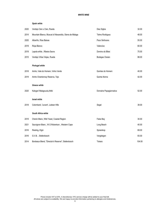## *Spain white*

| 2020 | Verdejo Cien x Cien, Rueda                              | Diez Siglos           | 32.00  |
|------|---------------------------------------------------------|-----------------------|--------|
| 2014 | Mountain Blanco, Muscat of Alexandria, Sierra de Malaga | Telmo Rodriguez       | 48.00  |
| 2020 | Albariño, Rías Baixas                                   | Pazo Señorans         | 55.00  |
| 2019 | Rioja Blanco                                            | Valenciso             | 60.00  |
| 2019 | Lapola white, Ribeira Sacra                             | Domino do Bibei       | 75.00  |
| 2015 | Verdejo Viñas Viejas, Rueda                             | Bodegas Ossian        | 88.00  |
|      | <b>Portugal white</b>                                   |                       |        |
| 2018 | Arinto, Vale do Homem, Vinho Verde                      | Quintas do Homem      | 40.00  |
| 2019 | Arinto Chardonnay Reserva, Tejo                         | Quinta Alorna         | 42.00  |
|      | <b>Greece white</b>                                     |                       |        |
| 2020 | Kalogeri Malagouzia, Attiki                             | Domaine Papagiannakos | 52.00  |
|      | <b>Israel white</b>                                     |                       |        |
| 2018 | Colombard, 'Levant', Judean Hills                       | Segal                 | 38.00  |
|      | South Africa white                                      |                       |        |
| 2019 | Chenin Blanc, Wild Yeast, Coastal Region                | False Bay             | 30.00  |
| 2021 | Sauvignon Blanc, W.O.Robertson, Western Cape            | Long Beach            | 40.00  |
| 2016 | Riesling, Elgin                                         | Spioenkop             | 69.00  |
| 2016 | G.V.B., Stellenbosch                                    | Vergelegen            | 83.00  |
| 2014 | Bordeaux Blend, "Director's Reserve", Stellenbosch      | Tokara                | 104.00 |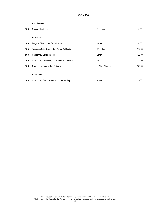*Canada white*

| 2018 | Niagara Chardonnay                                  | Bachelder         | 91.00  |
|------|-----------------------------------------------------|-------------------|--------|
|      | <b>USA white</b>                                    |                   |        |
| 2016 | Foxglove Chardonnay, Central Coast                  | Varner            | 62.00  |
| 2015 | Trousseau Gris, Russian River Valley, California    | Wind Gap          | 102.00 |
| 2018 | Chardonnay, Santa Rita Hills                        | Sandhi            | 108.00 |
| 2016 | Chardonnay, Bent Rock, Santa Rita Hills, California | Sandhi            | 144.00 |
| 2016 | Chardonnay, Napa Valley, California                 | Château Montelena | 176.00 |
|      | <b>Chile white</b>                                  |                   |        |
| 2019 | Chardonnay, Gran Reserva, Casablanca Valley         | Novas             | 45.00  |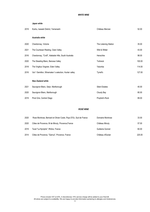*Japan white*

| 2019 | Koshu, Iwasaki District, Yamanashi                    | Château Mercian       | 52.00  |
|------|-------------------------------------------------------|-----------------------|--------|
|      | Australia white                                       |                       |        |
| 2020 | Chardonnay, Victoria                                  | The Listening Station | 35.00  |
| 2021 | The Courtesan Riesling, Clare Valley                  | Wild & Wilder         | 43.00  |
| 2016 | Chardonnay, "Croft", Adelaide Hills, South Australia  | Henschke              | 98.00  |
| 2020 | The Steading Blanc, Barossa Valley                    | <b>Torbreck</b>       | 100.00 |
| 2018 | The Virgilius Viognier, Eden Valley                   | Yalumba               | 114.00 |
| 2016 | Vat 1 Semillon, Winemaker 's selection, Hunter valley | Tyrrell's             | 127.00 |
|      | <b>New Zealand white</b>                              |                       |        |
| 2021 | Sauvignon Blanc, Satyr, Marlborough                   | Sileni Estates        | 40.00  |
| 2020 | Sauvignon Blanc, Marlborough                          | Cloudy Bay            | 80.00  |
| 2019 | Pinot Gris, Central Otago                             | Prophet's Rock        | 89.00  |
|      |                                                       |                       |        |

# *ROSÉ WINE*

| 2020 | Rose Montrose, Bernard et Olivier Coste, Pays D'Oc, Sud de France | Domaine Montrose | 33.00  |
|------|-------------------------------------------------------------------|------------------|--------|
| 2020 | Côtes de Provence, M de Minuty, Provence, France                  | Château Minuty   | 57.00  |
| 2019 | Tavel "La Nymphe", Rhône, France                                  | Guillame Gonnet  | 60.00  |
| 2014 | Côtes de Provence, "Garrus", Provence, France                     | Château d'Esclan | 225.00 |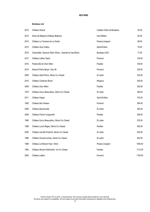#### *Bordeaux red*

| 2015 | Château Ricaud                                             | Cadillac-Côtes de Bordeaux | 45.50   |
|------|------------------------------------------------------------|----------------------------|---------|
| 2014 | Diane de Belgrave, Château Belgrave                        | Haut-Médoc                 | 64.00   |
| 2015 | Château La Terrasse de La Garde                            | Pessac-Léognan             | 68.00   |
| 2014 | Château Gros Caillou                                       | Saint-Émilion              | 76.00   |
| 2015 | Clarendelle, Clarence Dillon Wines, Inspired by Haut-Brion | Bordeaux AOC               | 77.00   |
| 2017 | Château Lafleur Gazin                                      | Pomerol                    | 125.00  |
| 2010 | Pastourelle de Clerc Milon                                 | Pauillac                   | 160.00  |
| 2014 | Alexia & Pierre Boyer, Clos 56                             | Pomerol                    | 220.00  |
| 2006 | Château Saint-Pierre, 4ième Cru Classè                     | St Julien                  | 230.00  |
| 2015 | Château Cantenac Brown                                     | Margaux                    | 240.00  |
| 2009 | Château Clerc Milon                                        | Pauillac                   | 350.00  |
| 1970 | Château Ducru Beaucaillou, 2ième Cru Classé                | St Julien                  | 360.00  |
| 2011 | Château Figeac                                             | Saint-Émillion             | 372.00  |
| 1995 | Château Bon Pasteur                                        | Pomerol                    | 384.00  |
| 2006 | Château Beychevelle                                        | St Julien                  | 465.00  |
| 2009 | Château Pichon-Longueville                                 | Pauillac                   | 558.00  |
| 1990 | Château Ducru Beaucaillou, 2ième Cru Classé                | St Julien                  | 575.00  |
| 1999 | Château Lynch Bages, 5ième Cru Classé                      | Pauillac                   | 595.00  |
| 2000 | Château Léoville Poyferré, 2ième Cru Classé                | St Julien                  | 625.00  |
| 1986 | Château Gruaud-Larose, 2ième Cru Classé                    | St Julien                  | 644.00  |
| 1988 | Château La Mission Haut - Brion                            | Pessac-Léognan             | 1050.00 |
| 1983 | Château Mouton-Rothschild, 1er Cru Classé                  | Pauillac                   | 1112.00 |
| 2004 | Château Lafleur                                            | Pomerol                    | 1150.00 |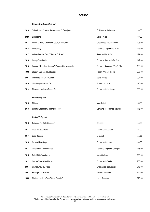## *Burgundy & Beaujolais red*

| 2019 | Saint-Amour, "Le Cru des Amoureux", Beaujolais  | Château de Belleverne        | 39.00  |
|------|-------------------------------------------------|------------------------------|--------|
| 2020 | Bourgogne                                       | Vallet Frères                | 60.00  |
| 2017 | Moulin-à-Vent, "Champ de Cour", Beaujolais      | Château du Moulin-à-Vent,    | 103.00 |
| 2018 | Marsannay                                       | Domaine Trapet Père et Fils  | 115.00 |
| 2017 | Volnay Premier Cru, "Clos de Chênes"            | Jean Javillier & Fils        | 127.00 |
| 2018 | Gevry-Chambertin                                | Domaine Harmand-Geoffroy     | 149.00 |
| 2015 | Beaune "Clos de la Mousse" Premier Cru Monopole | Domaine Bouchard Père & Fils | 188.00 |
| 1992 | Blagny, La pièce sous les bois                  | Robert Ampeau et Fils        | 205.00 |
| 2001 | Pommard 1er Cru "Rugiens"                       | <b>Vallet Freres</b>         | 294.00 |
| 2010 | Clos Vougeot Grand Cru                          | Arnoux Lachaux               | 470.00 |
| 2014 | Clos des Lambrays Grand Cru                     | Domaine de Lambrays          | 680.00 |
|      | Loire Valley red                                |                              |        |
| 2019 | Chinon                                          | Marc Brédif                  | 55.00  |
| 2018 | Saumur Champigny "Franc de Pied"                | Domaine des Roches Neuves    | 116.00 |
|      | Rhône Valley red                                |                              |        |
| 2018 | Cairanne "La Côte Sauvage"                      | Boutinot                     | 45.00  |
| 2014 | Lirac "Le Gourmand"                             | Domaine du Joncier           | 54.00  |
| 2017 | Saint-Joseph                                    | E.Guigal                     | 77.00. |
| 2016 | Crozes-Hermitage                                | Domaine des Lises            | 88.00  |
| 2011 | Côte Rôtie "Les Massales"                       | Domaine Stéphane Otheguy     | 178.00 |
| 2016 | Côte Rôtie "Madiniere"                          | <b>Yves Cuilleron</b>        | 190.00 |
| 2012 | Cornas "Les Billes Noires"                      | Domaine du Coulet            | 260.00 |
| 2001 | Châteauneuf-du-Pape                             | Château de Beaucastel        | 315.00 |
| 2004 | Ermitage "Le Pavillon"                          | Michel Chapoutier            | 345.00 |
| 1988 | Châteauneuf-du-Pape "Marie Beurrier"            | Henri Bonneau                | 920.00 |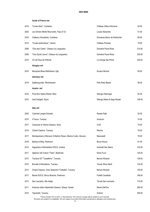#### *South of France red*

|                                                                 | Château Ollieux-Romanis                                                                             | 40.00                          |
|-----------------------------------------------------------------|-----------------------------------------------------------------------------------------------------|--------------------------------|
| Les Oliviers Merlot Mourvedre, Pays D'Oc                        | Louise Alexandre                                                                                    | 51.00                          |
| Château d'Aussières, Corbières                                  | Domaines Baron de Rothschild                                                                        | 69.00                          |
| "Cuvée Authentique", Cahors                                     | Château Pineraie                                                                                    | 74.00                          |
| "Clos des Cistes", Côteaux du Languedoc                         | Domaine Peyre-Rose                                                                                  | 210.00                         |
| "Clos Syrah Leone", Côteaux du Languedoc                        | Domaine Peyre-Rose                                                                                  | 235.00                         |
| Vin de Pays de l'Hérault                                        | La Grange des Pères                                                                                 | 320.00                         |
| Hungary red                                                     |                                                                                                     |                                |
| Monopole Blues Kékfrankos, Egri                                 | Kovács Nimród                                                                                       | 59.00                          |
| Germany red                                                     |                                                                                                     |                                |
| Spätburgunder, Rheinhessen                                      | Peth-Wetz Blauer                                                                                    | 56.00                          |
| Austria red                                                     |                                                                                                     |                                |
| Pinot Noir Select, Wiener Wein                                  | Weingut Wieninger                                                                                   | 82.00                          |
| Graf Zweigelt, Styria                                           | Weingut Maria & Sepp Muster                                                                         | 108.00                         |
|                                                                 |                                                                                                     |                                |
|                                                                 |                                                                                                     | 52.00                          |
|                                                                 |                                                                                                     | 74.00                          |
|                                                                 |                                                                                                     | 75.00                          |
| Chianti Classico, Tuscany                                       |                                                                                                     |                                |
|                                                                 | Riecine                                                                                             | 76.00                          |
| Montepulciano d'Abruzzo S.Martino Rosso, Marina Cvetic, Abruzzo | Masciarelli                                                                                         | 78.00                          |
| Barbera d'Alba, Piedmont                                        | <b>Bruno Rocca</b>                                                                                  | 91.00                          |
| Sagrantino di Montefalco DOCG, Umbria                           | Antonelli San Marco                                                                                 | 102.00                         |
| Aglianico del Vulture "Titolo", Basilicata                      | Elena Fucci                                                                                         | 120.00                         |
| Toscana IGT "Casalferro", Tuscany                               | Barone Ricasoli                                                                                     | 128.00                         |
| Brunello di Montalcino, Tuscany                                 | Tenute Silvio Nardi                                                                                 | 134.00                         |
| Chianti Classico, Gran Selezione "Colledila", Tuscany           | Barone Ricasoli                                                                                     | 155.00                         |
| Barolo DOCG, Bricco Boschis, Piedmont                           | Fratelli Cavallotto                                                                                 | 168.00                         |
| San Leonardo, Alto Adige                                        | Tenuta San Leonardo                                                                                 | 174.00                         |
| Amarone della Valpolicella Classico, Stropa, Veneto             | Monte Dall'Ora                                                                                      | 260.00                         |
|                                                                 | Italy red<br>Colombé Langhe Dolcetto<br>Il Fauno, Tuscany<br>Cerasuolo di Vittoria Classico, Sicily | Renato Ratti<br>Arcanum<br>COS |

Prices include VAT at 20%. A discretionary 15% service charge will be added to your final bill. All wines are subject to availability. We are happy to provide information pertaining to allergies and intolerances.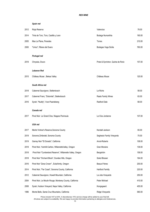## *Spain red*

| 2012 | Rioja Reserva                                              | Valenciso                         | 78.00  |
|------|------------------------------------------------------------|-----------------------------------|--------|
| 2014 | Tinta de Toro, Toro, Castilla y Leon                       | Bodega Numanthia                  | 190.00 |
| 2005 | Mas La Plana, Penedes                                      | Torres                            | 210.00 |
| 2000 | "Unico", Ribera del Duero                                  | Bodegas Vega Sicilia              | 760.00 |
|      |                                                            |                                   |        |
|      | Portugal red                                               |                                   |        |
| 2018 | Chryseia, Douro                                            | Prats & Syminton, Quinta de Roriz | 157.00 |
|      | <b>Lebanon Red</b>                                         |                                   |        |
| 2015 | Château Musar, Bekaa Valley                                | Château Musar                     | 120.00 |
|      | South Africa red                                           |                                   |        |
|      |                                                            |                                   |        |
| 2018 | Cabernet Sauvignon, Stellenbosch                           | Le Riche                          | 58.00  |
| 2017 | Cabernet Franc, "Dolomite", Stellenbosch                   | Raats Family Wines                | 63.00  |
| 2016 | Syrah, "Nudity", Voor-Paardeberg                           | Radford Dale                      | 68.00  |
|      | Canada red                                                 |                                   |        |
| 2017 | Pinot Noir Le Grand Clos, Niagara Peninsula                | Le Clos Jordanne                  | 107.00 |
|      | USA red                                                    |                                   |        |
| 2017 | Merlot Vintner's Reserve, Sonoma County                    | Kendall Jackson                   | 65.00  |
| 2019 | Sonoma Zinfandel, Sonoma County                            | Seghesio Family Vineyards         | 75.00  |
| 2019 | Gamay Noir "El Dorado", California                         | Arnot-Roberts                     | 108.00 |
| 2018 | Pinot Noir, Yamhill-Carlton, WillametteValley, Oregon      | Gran Moraine                      | 139.00 |
| 2018 | Pinot Noir "Cumberland Reserve", Willamette Valley, Oregon | Bergström                         | 158.00 |
| 2018 | Pinot Noir "Orchard Block", Dundee Hills, Oregon           | Sokol Blosser                     | 164.00 |
| 2016 | Pinot Noir "Zena Crown", Eola/Amity, Oregon                | Beaux-Frères                      | 200.00 |
| 2014 | Pinot Noir, "Far Coast", Sonoma County, California         | <b>Hartford Familly</b>           | 220.00 |
| 2012 | Cabernet Sauvignon, Howell Mountain, California            | La Jota Vineyards                 | 250.00 |
| 2004 | Pinot Noir, Le Moulin Rouge, Monterey County, California   | Peter Michael                     | 410.00 |
| 2008 | Syrah, Hudson Vineyard, Napa Valley, California            | Kongsgaard                        | 455.00 |
| 1996 | Monte Bello, Santa Cruz Mountains, California              | Ridge Vineyards                   | 580.00 |

Prices include VAT at 20%. A discretionary 15% service charge will be added to your final bill. All wines are subject to availability. We are happy to provide information pertaining to allergies and intolerances.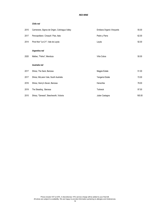## *Chile red*

| 2015 | Carmenere, Signos de Origen, Colchagua Valley | Emiliana Organic Vineyards | 55.00  |
|------|-----------------------------------------------|----------------------------|--------|
| 2017 | Pencopolitano Cinsault / Pais, Itata          | Pedro y Parra              | 62.00  |
| 2014 | Pinot Noir "Lot 21", Vale de Leyda            | Leyda                      | 92.00  |
|      | Argentina red                                 |                            |        |
| 2020 | Malbec, "Felino", Mendoza                     | Viña Cobos                 | 50.00  |
|      | Australia red                                 |                            |        |
| 2017 | Shiraz, The Sack, Barossa                     | Magpie Estate              | 51.00  |
| 2017 | Shiraz, McLaren Vale, South Australia         | Yangarra Estate            | 72.00  |
| 2016 | Shiraz, Henry's Seven, Barossa                | Henschke                   | 78.00  |
| 2019 | The Steading, Barossa                         | <b>Torbreck</b>            | 97.00  |
| 2015 | Shiraz, "Genesis", Beechworth, Victoria       | Julian Castagna            | 165.00 |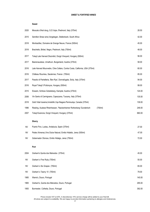#### *SWEET & FORTIFIED WINES*

#### **Sweet**

| 2020      | Moscato d'Asti docg, G.D.Vajra, Piedmont, Italy (375ml)                        | 28.50  |
|-----------|--------------------------------------------------------------------------------|--------|
| 2015      | Semillon Straw wine, Vergelegen, Stellenbosh, South Africa                     | 42.00  |
| 2018      | Monbazillac, Domaine de Grange Neuve, France (500ml)                           | 45.00  |
| 2018      | Brachetto, Birbet, Negro, Piedmont, Italy (750ml)                              | 48.00  |
| 2017      | Tokaji Late Harvest Disznókö, Dorgó Vineyard, Hungary (500ml)                  | 56.00  |
| 2017      | Beerenauslese, Umathum, Burgenland, Austria (375ml)                            | 58.00  |
| 2016      | Late Harvest Mourvedre, Cline Cellars, Contra Costa, California, USA (375ml)   | 60.00  |
| 2016      | Château Roumieu, Sauternes, France (750ml)                                     | 85.00  |
| 2017      | Passito di Pantelleria, 'Ben Rye', Donnafugata, Sicily, Italy (375ml)          | 94.00  |
| 2016      | Royal Tokaji 5 Puttonyos, Hungary (500ml)                                      | 99.00  |
| 2015      | Eiswein, Schloss Gobelsberg, Kamptal, Austria (375ml)                          | 124.00 |
| 2006      | Vin Santo di Carmignano, Capezzana, Tuscany, Italy (375ml)                     | 135.00 |
| 2018      | Gold Vidal Icewine, Inniskillin, Vqa Niagara Peninsulqa, Canada (375ml)        | 139.00 |
| 1996      | Riesling, Auslese Rheinhessen, "Nackenheimer Rothenberg 'Gunderloch<br>(750ml) | 248.00 |
| 2007      | Tokaji Eszencia, Dorgó Vineyard, Hungary (375ml)                               | 660.00 |
|           | <b>Sherry</b>                                                                  |        |
| NV        | Puerto Fino, Lustau, Andalucia, Spain (375ml)                                  | 27.00  |
| NV        | Pedeo Ximenez, Vino Dulce Natural, Emilio Hidaldo, Jerez (500ml)               | 47.00  |
| NV        | Gobernador Oloroso, Emilio Hidalgo, Jerez (750ml)                              | 72.00  |
|           | Port                                                                           |        |
| 2004      | Graham's Quinta dos Malvedos (375ml)                                           | 45.00  |
| <b>NV</b> | Graham's Fine Ruby (750ml)                                                     | 55.00  |
| <b>NV</b> | Graham's Six Grapes (750ml)                                                    | 65.00  |
| <b>NV</b> | Graham's Tawny 10 (750ml)                                                      | 79.00  |
| 1985      | Warre's, Douro, Portugal                                                       | 145.00 |
| 1965      | Graham's, Quinta dos Malvedos, Douro, Portugal                                 | 295.00 |
| 1955      | Burmester, Colheita, Douro, Portugal                                           | 392.00 |

Prices include VAT at 20%. A discretionary 15% service charge will be added to your final bill. All wines are subject to availability. We are happy to provide information pertaining to allergies and intolerances.